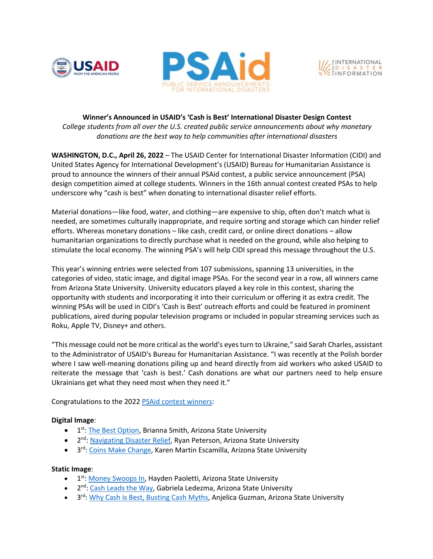





# **Winner's Announced in USAID's 'Cash is Best' International Disaster Design Contest** *College students from all over the U.S. created public service announcements about why monetary donations are the best way to help communities after international disasters*

**WASHINGTON, D.C., April 26, 2022** – The USAID Center for International Disaster Information (CIDI) and United States Agency for International Development's (USAID) Bureau for Humanitarian Assistance is proud to announce the winners of their annual PSAid contest, a public service announcement (PSA) design competition aimed at college students. Winners in the 16th annual contest created PSAs to help underscore why "cash is best" when donating to international disaster relief efforts.

Material donations—like food, water, and clothing—are expensive to ship, often don't match what is needed, are sometimes culturally inappropriate, and require sorting and storage which can hinder relief efforts. Whereas monetary donations – like cash, credit card, or online direct donations – allow humanitarian organizations to directly purchase what is needed on the ground, while also helping to stimulate the local economy. The winning PSA's will help CIDI spread this message throughout the U.S.

This year's winning entries were selected from 107 submissions, spanning 13 universities, in the categories of video, static image, and digital image PSAs. For the second year in a row, all winners came from Arizona State University. University educators played a key role in this contest, sharing the opportunity with students and incorporating it into their curriculum or offering it as extra credit. The winning PSAs will be used in CIDI's 'Cash is Best' outreach efforts and could be featured in prominent publications, aired during popular television programs or included in popular streaming services such as Roku, Apple TV, Disney+ and others.

"This message could not be more critical as the world's eyes turn to Ukraine," said Sarah Charles, assistant to the Administrator of USAID's Bureau for Humanitarian Assistance. "I was recently at the Polish border where I saw well-meaning donations piling up and heard directly from aid workers who asked USAID to reiterate the message that 'cash is best.' Cash donations are what our partners need to help ensure Ukrainians get what they need most when they need it."

Congratulations to the 2022 PSAid contest winners:

## **Digital Image**:

- 1<sup>st</sup>: The Best Option, Brianna Smith, Arizona State University
- 2<sup>nd</sup>: Navigating Disaster Relief, Ryan Peterson, Arizona State University
- 3<sup>rd</sup>: Coins Make Change, Karen Martin Escamilla, Arizona State University

### **Static Image**:

- 1<sup>st</sup>: Money Swoops In, Hayden Paoletti, Arizona State University
- $\bullet$  2<sup>nd</sup>: Cash Leads the Way, Gabriela Ledezma, Arizona State University
- 3<sup>rd</sup>: Why Cash is Best, Busting Cash Myths, Anjelica Guzman, Arizona State University